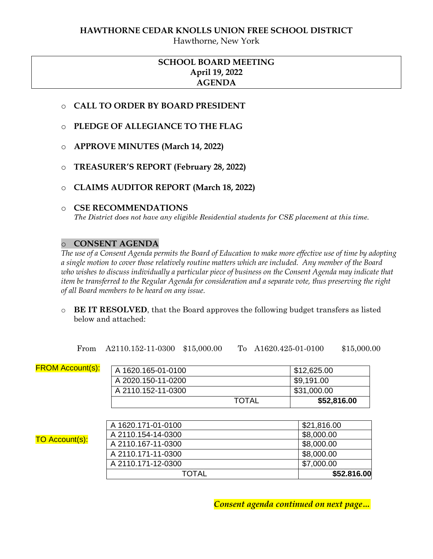#### **HAWTHORNE CEDAR KNOLLS UNION FREE SCHOOL DISTRICT**

Hawthorne, New York

# **SCHOOL BOARD MEETING April 19, 2022 AGENDA**

- o **CALL TO ORDER BY BOARD PRESIDENT**
- o **PLEDGE OF ALLEGIANCE TO THE FLAG**
- o **APPROVE MINUTES (March 14, 2022)**
- o **TREASURER'S REPORT (February 28, 2022)**
- o **CLAIMS AUDITOR REPORT (March 18, 2022)**

#### o **CSE RECOMMENDATIONS**

*The District does not have any eligible Residential students for CSE placement at this time.*

#### o **CONSENT AGENDA**

*The use of a Consent Agenda permits the Board of Education to make more effective use of time by adopting a single motion to cover those relatively routine matters which are included. Any member of the Board who wishes to discuss individually a particular piece of business on the Consent Agenda may indicate that item be transferred to the Regular Agenda for consideration and a separate vote, thus preserving the right of all Board members to be heard on any issue.* 

o **BE IT RESOLVED**, that the Board approves the following budget transfers as listed below and attached:

From A2110.152-11-0300 \$15,000.00 To A1620.425-01-0100 \$15,000.00

| <b>FROM Account(s):</b> | A 1620.165-01-0100                       |              | \$12,625.00              |
|-------------------------|------------------------------------------|--------------|--------------------------|
|                         | A 2020.150-11-0200                       |              | \$9,191.00               |
|                         | A 2110.152-11-0300                       |              | \$31,000.00              |
|                         |                                          | <b>TOTAL</b> | \$52,816.00              |
|                         | A 1620.171-01-0100                       |              | \$21,816.00              |
| <b>TO Account(s):</b>   | A 2110.154-14-0300<br>A 2110.167-11-0300 |              | \$8,000.00<br>\$8,000.00 |
|                         | A 2110.171-11-0300                       |              | \$8,000.00               |
|                         | A 2110.171-12-0300                       |              | \$7,000.00               |
|                         | <b>TOTAL</b>                             |              | \$52.816.00              |

*Consent agenda continued on next page…*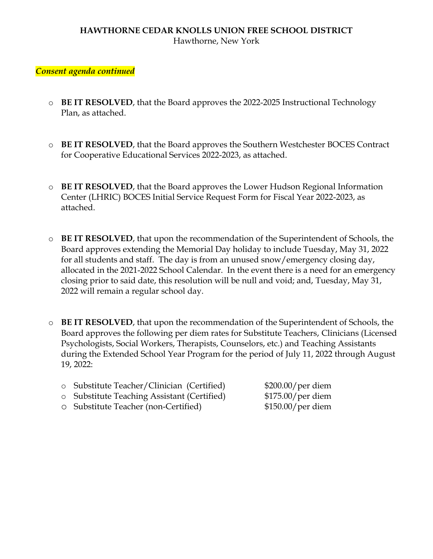# **HAWTHORNE CEDAR KNOLLS UNION FREE SCHOOL DISTRICT** Hawthorne, New York

# *Consent agenda continued*

- o **BE IT RESOLVED**, that the Board approves the 2022-2025 Instructional Technology Plan, as attached.
- o **BE IT RESOLVED**, that the Board approves the Southern Westchester BOCES Contract for Cooperative Educational Services 2022-2023, as attached.
- o **BE IT RESOLVED**, that the Board approves the Lower Hudson Regional Information Center (LHRIC) BOCES Initial Service Request Form for Fiscal Year 2022-2023, as attached.
- o **BE IT RESOLVED**, that upon the recommendation of the Superintendent of Schools, the Board approves extending the Memorial Day holiday to include Tuesday, May 31, 2022 for all students and staff. The day is from an unused snow/emergency closing day, allocated in the 2021-2022 School Calendar. In the event there is a need for an emergency closing prior to said date, this resolution will be null and void; and, Tuesday, May 31, 2022 will remain a regular school day.
- o **BE IT RESOLVED**, that upon the recommendation of the Superintendent of Schools, the Board approves the following per diem rates for Substitute Teachers, Clinicians (Licensed Psychologists, Social Workers, Therapists, Counselors, etc.) and Teaching Assistants during the Extended School Year Program for the period of July 11, 2022 through August 19, 2022:
	- o Substitute Teacher/Clinician (Certified) \$200.00/per diem
	- o Substitute Teaching Assistant (Certified) \$175.00/per diem
	- o Substitute Teacher (non-Certified) \$150.00/per diem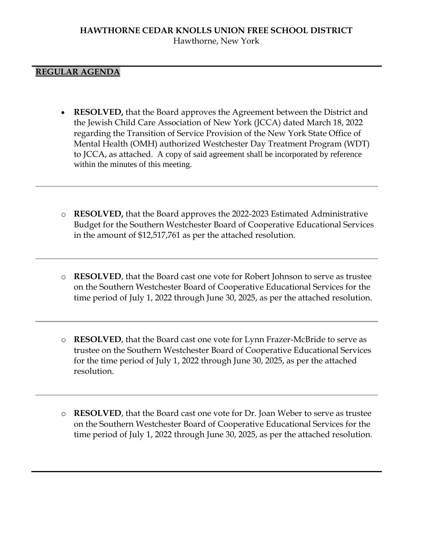# **REGULAR AGENDA**

- **RESOLVED,** that the Board approves the Agreement between the District and the Jewish Child Care Association of New York (JCCA) dated March 18, 2022 regarding the Transition of Service Provision of the New York State Office of Mental Health (OMH) authorized Westchester Day Treatment Program (WDT) to JCCA, as attached. A copy of said agreement shall be incorporated by reference within the minutes of this meeting.
- o **RESOLVED,** that the Board approves the 2022-2023 Estimated Administrative Budget for the Southern Westchester Board of Cooperative Educational Services in the amount of \$12,517,761 as per the attached resolution.
- o **RESOLVED**, that the Board cast one vote for Robert Johnson to serve as trustee on the Southern Westchester Board of Cooperative Educational Services for the time period of July 1, 2022 through June 30, 2025, as per the attached resolution.
- o **RESOLVED**, that the Board cast one vote for Lynn Frazer-McBride to serve as trustee on the Southern Westchester Board of Cooperative Educational Services for the time period of July 1, 2022 through June 30, 2025, as per the attached resolution.
- o **RESOLVED**, that the Board cast one vote for Dr. Joan Weber to serve as trustee on the Southern Westchester Board of Cooperative Educational Services for the time period of July 1, 2022 through June 30, 2025, as per the attached resolution.